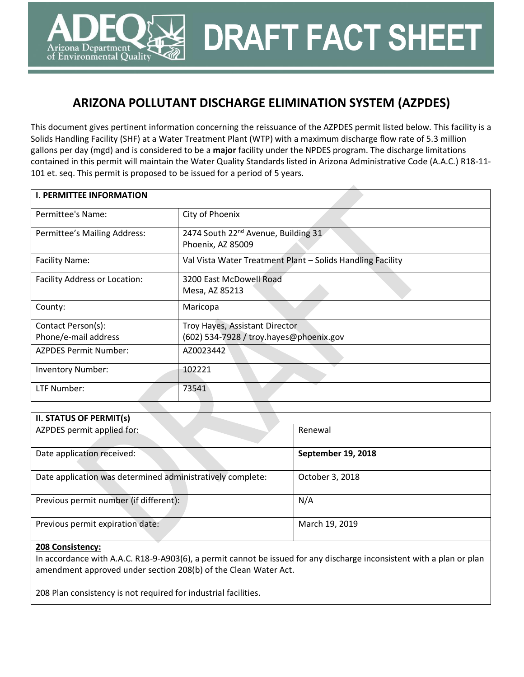# **ARIZONA POLLUTANT DISCHARGE ELIMINATION SYSTEM (AZPDES)**

**DRAFT FACT SHEET**

This document gives pertinent information concerning the reissuance of the AZPDES permit listed below. This facility is a Solids Handling Facility (SHF) at a Water Treatment Plant (WTP) with a maximum discharge flow rate of 5.3 million gallons per day (mgd) and is considered to be a **major** facility under the NPDES program. The discharge limitations contained in this permit will maintain the Water Quality Standards listed in Arizona Administrative Code (A.A.C.) R18-11- 101 et. seq. This permit is proposed to be issued for a period of 5 years.

| <b>I. PERMITTEE INFORMATION</b> |                                                                      |
|---------------------------------|----------------------------------------------------------------------|
| Permittee's Name:               | City of Phoenix                                                      |
| Permittee's Mailing Address:    | 2474 South 22 <sup>nd</sup> Avenue, Building 31<br>Phoenix, AZ 85009 |
| <b>Facility Name:</b>           | Val Vista Water Treatment Plant - Solids Handling Facility           |
| Facility Address or Location:   | 3200 East McDowell Road<br>Mesa, AZ 85213                            |
| County:                         | Maricopa                                                             |
| Contact Person(s):              | Troy Hayes, Assistant Director                                       |
| Phone/e-mail address            | (602) 534-7928 / troy.hayes@phoenix.gov                              |
| <b>AZPDES Permit Number:</b>    | AZ0023442                                                            |
| <b>Inventory Number:</b>        | 102221                                                               |
| LTF Number:                     | 73541                                                                |

| <b>II. STATUS OF PERMIT(s)</b>                             |                    |
|------------------------------------------------------------|--------------------|
| AZPDES permit applied for:                                 | Renewal            |
| Date application received:                                 | September 19, 2018 |
| Date application was determined administratively complete: | October 3, 2018    |
| Previous permit number (if different):                     | N/A                |
| Previous permit expiration date:                           | March 19, 2019     |

#### **208 Consistency:**

rizona Department of Environmental Quality

In accordance with A.A.C. R18-9-A903(6), a permit cannot be issued for any discharge inconsistent with a plan or plan amendment approved under section 208(b) of the Clean Water Act.

208 Plan consistency is not required for industrial facilities.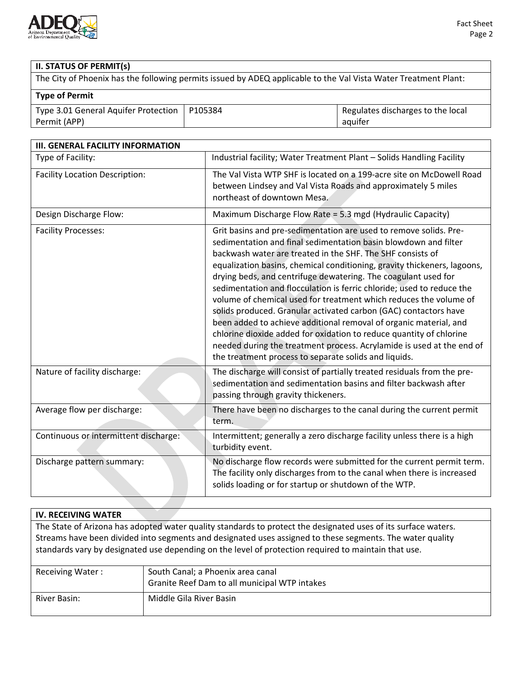

# **II. STATUS OF PERMIT(s)**

The City of Phoenix has the following permits issued by ADEQ applicable to the Val Vista Water Treatment Plant:

# **Type of Permit**

| Type 3.01 General Aquifer Protection   P105384 | Regulates discharges to the local |
|------------------------------------------------|-----------------------------------|
| Permit (APP)                                   | aquiter                           |

| <b>III. GENERAL FACILITY INFORMATION</b> |                                                                                                                                                                                                                                                                                                                                                                                                                                                                                                                                                                                                                                                                                                                                                                                                                                                  |
|------------------------------------------|--------------------------------------------------------------------------------------------------------------------------------------------------------------------------------------------------------------------------------------------------------------------------------------------------------------------------------------------------------------------------------------------------------------------------------------------------------------------------------------------------------------------------------------------------------------------------------------------------------------------------------------------------------------------------------------------------------------------------------------------------------------------------------------------------------------------------------------------------|
| Type of Facility:                        | Industrial facility; Water Treatment Plant - Solids Handling Facility                                                                                                                                                                                                                                                                                                                                                                                                                                                                                                                                                                                                                                                                                                                                                                            |
| <b>Facility Location Description:</b>    | The Val Vista WTP SHF is located on a 199-acre site on McDowell Road<br>between Lindsey and Val Vista Roads and approximately 5 miles<br>northeast of downtown Mesa.                                                                                                                                                                                                                                                                                                                                                                                                                                                                                                                                                                                                                                                                             |
| Design Discharge Flow:                   | Maximum Discharge Flow Rate = 5.3 mgd (Hydraulic Capacity)                                                                                                                                                                                                                                                                                                                                                                                                                                                                                                                                                                                                                                                                                                                                                                                       |
| <b>Facility Processes:</b>               | Grit basins and pre-sedimentation are used to remove solids. Pre-<br>sedimentation and final sedimentation basin blowdown and filter<br>backwash water are treated in the SHF. The SHF consists of<br>equalization basins, chemical conditioning, gravity thickeners, lagoons,<br>drying beds, and centrifuge dewatering. The coagulant used for<br>sedimentation and flocculation is ferric chloride; used to reduce the<br>volume of chemical used for treatment which reduces the volume of<br>solids produced. Granular activated carbon (GAC) contactors have<br>been added to achieve additional removal of organic material, and<br>chlorine dioxide added for oxidation to reduce quantity of chlorine<br>needed during the treatment process. Acrylamide is used at the end of<br>the treatment process to separate solids and liquids. |
| Nature of facility discharge:            | The discharge will consist of partially treated residuals from the pre-<br>sedimentation and sedimentation basins and filter backwash after<br>passing through gravity thickeners.                                                                                                                                                                                                                                                                                                                                                                                                                                                                                                                                                                                                                                                               |
| Average flow per discharge:              | There have been no discharges to the canal during the current permit<br>term.                                                                                                                                                                                                                                                                                                                                                                                                                                                                                                                                                                                                                                                                                                                                                                    |
| Continuous or intermittent discharge:    | Intermittent; generally a zero discharge facility unless there is a high<br>turbidity event.                                                                                                                                                                                                                                                                                                                                                                                                                                                                                                                                                                                                                                                                                                                                                     |
| Discharge pattern summary:               | No discharge flow records were submitted for the current permit term.<br>The facility only discharges from to the canal when there is increased<br>solids loading or for startup or shutdown of the WTP.                                                                                                                                                                                                                                                                                                                                                                                                                                                                                                                                                                                                                                         |

| <b>IV. RECEIVING WATER</b>                                                                                |                                                                                                                |  |  |  |
|-----------------------------------------------------------------------------------------------------------|----------------------------------------------------------------------------------------------------------------|--|--|--|
|                                                                                                           | The State of Arizona has adopted water quality standards to protect the designated uses of its surface waters. |  |  |  |
| Streams have been divided into segments and designated uses assigned to these segments. The water quality |                                                                                                                |  |  |  |
| standards vary by designated use depending on the level of protection required to maintain that use.      |                                                                                                                |  |  |  |
|                                                                                                           |                                                                                                                |  |  |  |
| <b>Receiving Water:</b>                                                                                   | South Canal; a Phoenix area canal                                                                              |  |  |  |
| Granite Reef Dam to all municipal WTP intakes                                                             |                                                                                                                |  |  |  |
| River Basin:                                                                                              | Middle Gila River Basin                                                                                        |  |  |  |
|                                                                                                           |                                                                                                                |  |  |  |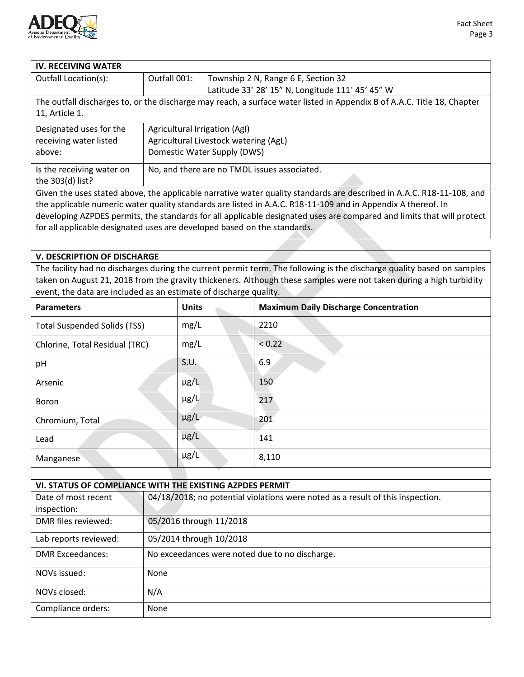

| <b>IV. RECEIVING WATER</b>                                                                                            |                                       |                                                                                                                         |  |
|-----------------------------------------------------------------------------------------------------------------------|---------------------------------------|-------------------------------------------------------------------------------------------------------------------------|--|
| Outfall Location(s):                                                                                                  | Outfall 001:                          | Township 2 N, Range 6 E, Section 32                                                                                     |  |
|                                                                                                                       |                                       | Latitude 33° 28' 15" N, Longitude 111° 45' 45" W                                                                        |  |
|                                                                                                                       |                                       | The outfall discharges to, or the discharge may reach, a surface water listed in Appendix B of A.A.C. Title 18, Chapter |  |
| 11, Article 1.                                                                                                        |                                       |                                                                                                                         |  |
| Designated uses for the                                                                                               | Agricultural Irrigation (AgI)         |                                                                                                                         |  |
| receiving water listed                                                                                                | Agricultural Livestock watering (AgL) |                                                                                                                         |  |
| above:                                                                                                                |                                       | Domestic Water Supply (DWS)                                                                                             |  |
| Is the receiving water on                                                                                             |                                       | No, and there are no TMDL issues associated.                                                                            |  |
| the 303(d) list?                                                                                                      |                                       |                                                                                                                         |  |
| Given the uses stated above, the applicable narrative water quality standards are described in A.A.C. R18-11-108, and |                                       |                                                                                                                         |  |
| the applicable numeric water quality standards are listed in A.A.C. R18-11-109 and in Appendix A thereof. In          |                                       |                                                                                                                         |  |
| real contracts of the contracts of the contracts of the contracts of the contracts of the contracts of the con        |                                       |                                                                                                                         |  |

developing AZPDES permits, the standards for all applicable designated uses are compared and limits that will protect for all applicable designated uses are developed based on the standards.

### **V. DESCRIPTION OF DISCHARGE**

The facility had no discharges during the current permit term. The following is the discharge quality based on samples taken on August 21, 2018 from the gravity thickeners. Although these samples were not taken during a high turbidity event, the data are included as an estimate of discharge quality.

| <b>Parameters</b>                   | <b>Units</b> | <b>Maximum Daily Discharge Concentration</b> |
|-------------------------------------|--------------|----------------------------------------------|
| <b>Total Suspended Solids (TSS)</b> | mg/L         | 2210                                         |
| Chlorine, Total Residual (TRC)      | mg/L         | < 0.22                                       |
| pH                                  | S.U.         | 6.9                                          |
| Arsenic                             | $\mu$ g/L    | 150                                          |
| Boron                               | $\mu$ g/L    | 217                                          |
| Chromium, Total                     | $\mu$ g/L    | 201                                          |
| Lead                                | $\mu$ g/L    | 141                                          |
| Manganese                           | $\mu$ g/L    | 8,110                                        |

| VI. STATUS OF COMPLIANCE WITH THE EXISTING AZPDES PERMIT |                                                                                |  |  |
|----------------------------------------------------------|--------------------------------------------------------------------------------|--|--|
| Date of most recent                                      | 04/18/2018; no potential violations were noted as a result of this inspection. |  |  |
| inspection:                                              |                                                                                |  |  |
| DMR files reviewed:                                      | 05/2016 through 11/2018                                                        |  |  |
| Lab reports reviewed:                                    | 05/2014 through 10/2018                                                        |  |  |
| <b>DMR Exceedances:</b>                                  | No exceedances were noted due to no discharge.                                 |  |  |
| NOVs issued:                                             | None                                                                           |  |  |
| NOVs closed:                                             | N/A                                                                            |  |  |
| Compliance orders:                                       | None                                                                           |  |  |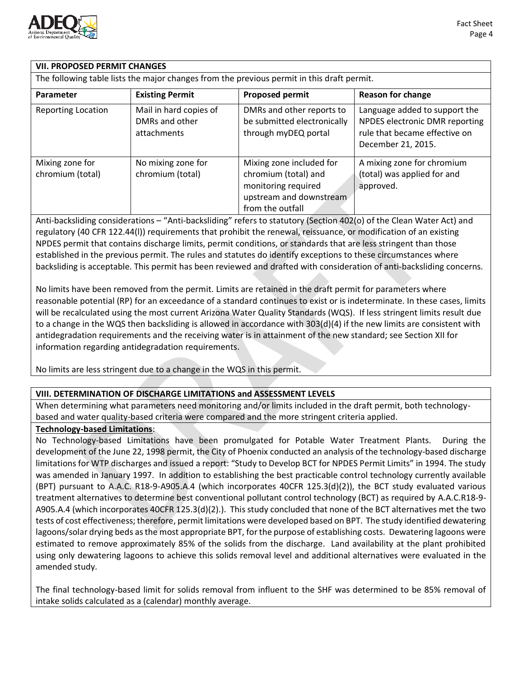

## **VII. PROPOSED PERMIT CHANGES**

The following table lists the major changes from the previous permit in this draft permit.

| <b>Parameter</b>                    | <b>Existing Permit</b>                                  | <b>Proposed permit</b>                                                                                                 | <b>Reason for change</b>                                                                                               |
|-------------------------------------|---------------------------------------------------------|------------------------------------------------------------------------------------------------------------------------|------------------------------------------------------------------------------------------------------------------------|
| <b>Reporting Location</b>           | Mail in hard copies of<br>DMRs and other<br>attachments | DMRs and other reports to<br>be submitted electronically<br>through myDEQ portal                                       | Language added to support the<br>NPDES electronic DMR reporting<br>rule that became effective on<br>December 21, 2015. |
| Mixing zone for<br>chromium (total) | No mixing zone for<br>chromium (total)                  | Mixing zone included for<br>chromium (total) and<br>monitoring required<br>upstream and downstream<br>from the outfall | A mixing zone for chromium<br>(total) was applied for and<br>approved.                                                 |

Anti-backsliding considerations – "Anti-backsliding" refers to statutory (Section 402(o) of the Clean Water Act) and regulatory (40 CFR 122.44(l)) requirements that prohibit the renewal, reissuance, or modification of an existing NPDES permit that contains discharge limits, permit conditions, or standards that are less stringent than those established in the previous permit. The rules and statutes do identify exceptions to these circumstances where backsliding is acceptable. This permit has been reviewed and drafted with consideration of anti-backsliding concerns.

No limits have been removed from the permit. Limits are retained in the draft permit for parameters where reasonable potential (RP) for an exceedance of a standard continues to exist or is indeterminate. In these cases, limits will be recalculated using the most current Arizona Water Quality Standards (WQS). If less stringent limits result due to a change in the WQS then backsliding is allowed in accordance with 303(d)(4) if the new limits are consistent with antidegradation requirements and the receiving water is in attainment of the new standard; see Section XII for information regarding antidegradation requirements.

No limits are less stringent due to a change in the WQS in this permit.

## **VIII. DETERMINATION OF DISCHARGE LIMITATIONS and ASSESSMENT LEVELS**

When determining what parameters need monitoring and/or limits included in the draft permit, both technologybased and water quality-based criteria were compared and the more stringent criteria applied.

### **Technology-based Limitations**:

No Technology-based Limitations have been promulgated for Potable Water Treatment Plants. During the development of the June 22, 1998 permit, the City of Phoenix conducted an analysis of the technology-based discharge limitations for WTP discharges and issued a report: "Study to Develop BCT for NPDES Permit Limits" in 1994. The study was amended in January 1997. In addition to establishing the best practicable control technology currently available (BPT) pursuant to A.A.C. R18-9-A905.A.4 (which incorporates 40CFR 125.3(d)(2)), the BCT study evaluated various treatment alternatives to determine best conventional pollutant control technology (BCT) as required by A.A.C.R18-9- A905.A.4 (which incorporates 40CFR 125.3(d)(2).). This study concluded that none of the BCT alternatives met the two tests of cost effectiveness; therefore, permit limitations were developed based on BPT. The study identified dewatering lagoons/solar drying beds as the most appropriate BPT, for the purpose of establishing costs. Dewatering lagoons were estimated to remove approximately 85% of the solids from the discharge. Land availability at the plant prohibited using only dewatering lagoons to achieve this solids removal level and additional alternatives were evaluated in the amended study.

The final technology-based limit for solids removal from influent to the SHF was determined to be 85% removal of intake solids calculated as a (calendar) monthly average.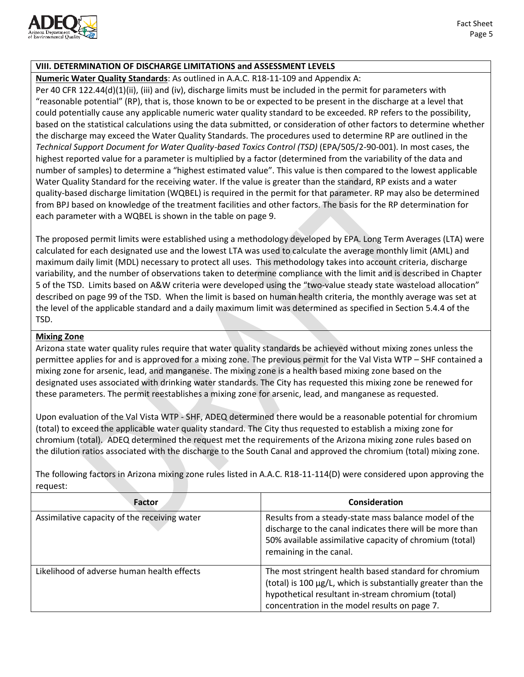

### **VIII. DETERMINATION OF DISCHARGE LIMITATIONS and ASSESSMENT LEVELS**

**Numeric Water Quality Standards**: As outlined in A.A.C. R18-11-109 and Appendix A:

Per 40 CFR 122.44(d)(1)(ii), (iii) and (iv), discharge limits must be included in the permit for parameters with "reasonable potential" (RP), that is, those known to be or expected to be present in the discharge at a level that could potentially cause any applicable numeric water quality standard to be exceeded. RP refers to the possibility, based on the statistical calculations using the data submitted, or consideration of other factors to determine whether the discharge may exceed the Water Quality Standards. The procedures used to determine RP are outlined in the *Technical Support Document for Water Quality-based Toxics Control (TSD)* (EPA/505/2-90-001). In most cases, the highest reported value for a parameter is multiplied by a factor (determined from the variability of the data and number of samples) to determine a "highest estimated value". This value is then compared to the lowest applicable Water Quality Standard for the receiving water. If the value is greater than the standard, RP exists and a water quality-based discharge limitation (WQBEL) is required in the permit for that parameter. RP may also be determined from BPJ based on knowledge of the treatment facilities and other factors. The basis for the RP determination for each parameter with a WQBEL is shown in the table on page 9.

The proposed permit limits were established using a methodology developed by EPA. Long Term Averages (LTA) were calculated for each designated use and the lowest LTA was used to calculate the average monthly limit (AML) and maximum daily limit (MDL) necessary to protect all uses. This methodology takes into account criteria, discharge variability, and the number of observations taken to determine compliance with the limit and is described in Chapter 5 of the TSD. Limits based on A&W criteria were developed using the "two-value steady state wasteload allocation" described on page 99 of the TSD. When the limit is based on human health criteria, the monthly average was set at the level of the applicable standard and a daily maximum limit was determined as specified in Section 5.4.4 of the TSD.

### **Mixing Zone**

Arizona state water quality rules require that water quality standards be achieved without mixing zones unless the permittee applies for and is approved for a mixing zone. The previous permit for the Val Vista WTP – SHF contained a mixing zone for arsenic, lead, and manganese. The mixing zone is a health based mixing zone based on the designated uses associated with drinking water standards. The City has requested this mixing zone be renewed for these parameters. The permit reestablishes a mixing zone for arsenic, lead, and manganese as requested.

Upon evaluation of the Val Vista WTP - SHF, ADEQ determined there would be a reasonable potential for chromium (total) to exceed the applicable water quality standard. The City thus requested to establish a mixing zone for chromium (total). ADEQ determined the request met the requirements of the Arizona mixing zone rules based on the dilution ratios associated with the discharge to the South Canal and approved the chromium (total) mixing zone.

The following factors in Arizona mixing zone rules listed in A.A.C. R18-11-114(D) were considered upon approving the request:

| Factor                                       | Consideration                                                                                                                                                                                                               |
|----------------------------------------------|-----------------------------------------------------------------------------------------------------------------------------------------------------------------------------------------------------------------------------|
| Assimilative capacity of the receiving water | Results from a steady-state mass balance model of the<br>discharge to the canal indicates there will be more than<br>50% available assimilative capacity of chromium (total)<br>remaining in the canal.                     |
| Likelihood of adverse human health effects   | The most stringent health based standard for chromium<br>(total) is 100 µg/L, which is substantially greater than the<br>hypothetical resultant in-stream chromium (total)<br>concentration in the model results on page 7. |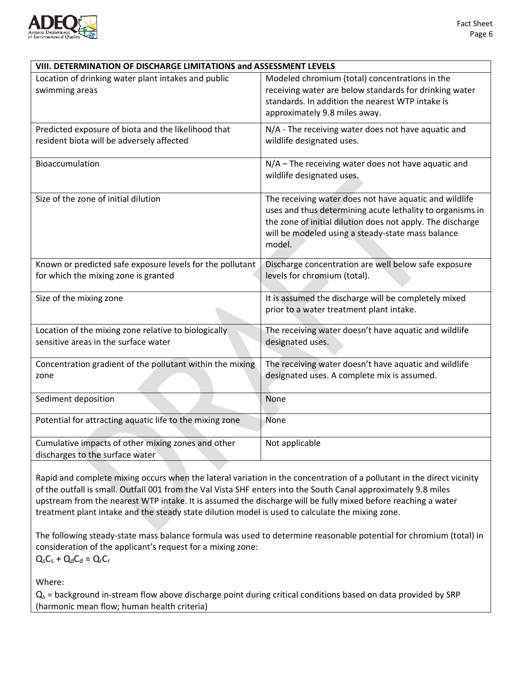

| VIII. DETERMINATION OF DISCHARGE LIMITATIONS and ASSESSMENT LEVELS                                |                                                                                                                                                                                                                                                  |
|---------------------------------------------------------------------------------------------------|--------------------------------------------------------------------------------------------------------------------------------------------------------------------------------------------------------------------------------------------------|
| Location of drinking water plant intakes and public<br>swimming areas                             | Modeled chromium (total) concentrations in the<br>receiving water are below standards for drinking water<br>standards. In addition the nearest WTP intake is<br>approximately 9.8 miles away.                                                    |
| Predicted exposure of biota and the likelihood that<br>resident biota will be adversely affected  | N/A - The receiving water does not have aquatic and<br>wildlife designated uses.                                                                                                                                                                 |
| Bioaccumulation                                                                                   | N/A - The receiving water does not have aquatic and<br>wildlife designated uses.                                                                                                                                                                 |
| Size of the zone of initial dilution                                                              | The receiving water does not have aquatic and wildlife<br>uses and thus determining acute lethality to organisms in<br>the zone of initial dilution does not apply. The discharge<br>will be modeled using a steady-state mass balance<br>model. |
| Known or predicted safe exposure levels for the pollutant<br>for which the mixing zone is granted | Discharge concentration are well below safe exposure<br>levels for chromium (total).                                                                                                                                                             |
| Size of the mixing zone                                                                           | It is assumed the discharge will be completely mixed<br>prior to a water treatment plant intake.                                                                                                                                                 |
| Location of the mixing zone relative to biologically<br>sensitive areas in the surface water      | The receiving water doesn't have aquatic and wildlife<br>designated uses.                                                                                                                                                                        |
| Concentration gradient of the pollutant within the mixing<br>zone                                 | The receiving water doesn't have aquatic and wildlife<br>designated uses. A complete mix is assumed.                                                                                                                                             |
| Sediment deposition                                                                               | None                                                                                                                                                                                                                                             |
| Potential for attracting aquatic life to the mixing zone                                          | None                                                                                                                                                                                                                                             |
| Cumulative impacts of other mixing zones and other<br>discharges to the surface water             | Not applicable                                                                                                                                                                                                                                   |

Rapid and complete mixing occurs when the lateral variation in the concentration of a pollutant in the direct vicinity of the outfall is small. Outfall 001 from the Val Vista SHF enters into the South Canal approximately 9.8 miles upstream from the nearest WTP intake. It is assumed the discharge will be fully mixed before reaching a water treatment plant intake and the steady state dilution model is used to calculate the mixing zone.

The following steady-state mass balance formula was used to determine reasonable potential for chromium (total) in consideration of the applicant's request for a mixing zone:  $Q_sC_s + Q_dC_d = Q_rC_r$ 

Where:

 $Q<sub>s</sub>$  = background in-stream flow above discharge point during critical conditions based on data provided by SRP (harmonic mean flow; human health criteria)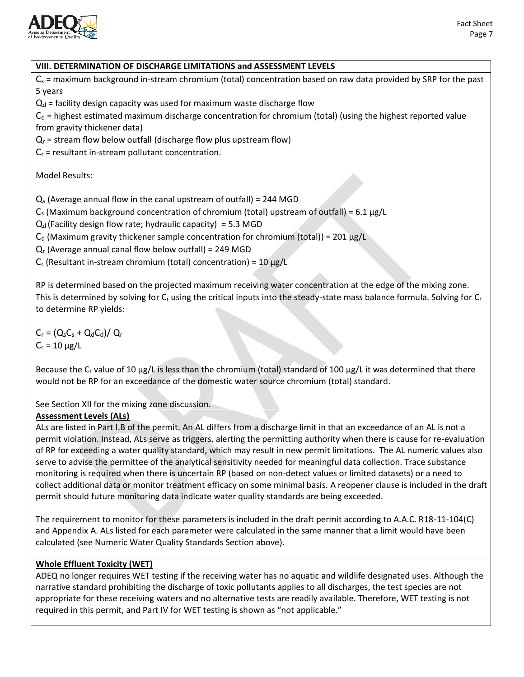

# **VIII. DETERMINATION OF DISCHARGE LIMITATIONS and ASSESSMENT LEVELS**  $C_s$  = maximum background in-stream chromium (total) concentration based on raw data provided by SRP for the past 5 years  $Q_d$  = facility design capacity was used for maximum waste discharge flow  $C_d$  = highest estimated maximum discharge concentration for chromium (total) (using the highest reported value from gravity thickener data)  $Q_r$  = stream flow below outfall (discharge flow plus upstream flow)  $C_r$  = resultant in-stream pollutant concentration. Model Results:  $Q<sub>s</sub>$  (Average annual flow in the canal upstream of outfall) = 244 MGD  $C_s$  (Maximum background concentration of chromium (total) upstream of outfall) = 6.1  $\mu$ g/L  $Q_d$  (Facility design flow rate; hydraulic capacity) = 5.3 MGD  $C_d$  (Maximum gravity thickener sample concentration for chromium (total)) = 201 µg/L  $Q<sub>r</sub>$  (Average annual canal flow below outfall) = 249 MGD  $C_r$  (Resultant in-stream chromium (total) concentration) = 10  $\mu$ g/L RP is determined based on the projected maximum receiving water concentration at the edge of the mixing zone. This is determined by solving for  $C_r$  using the critical inputs into the steady-state mass balance formula. Solving for  $C_r$ to determine RP yields:  $C_r = (Q_s C_s + Q_d C_d)/Q_r$  $C_r = 10 \mu g/L$ Because the C<sub>r</sub> value of 10 µg/L is less than the chromium (total) standard of 100 µg/L it was determined that there would not be RP for an exceedance of the domestic water source chromium (total) standard. See Section XII for the mixing zone discussion. **Assessment Levels (ALs)** ALs are listed in Part I.B of the permit. An AL differs from a discharge limit in that an exceedance of an AL is not a

permit violation. Instead, ALs serve as triggers, alerting the permitting authority when there is cause for re-evaluation of RP for exceeding a water quality standard, which may result in new permit limitations. The AL numeric values also serve to advise the permittee of the analytical sensitivity needed for meaningful data collection. Trace substance monitoring is required when there is uncertain RP (based on non-detect values or limited datasets) or a need to collect additional data or monitor treatment efficacy on some minimal basis. A reopener clause is included in the draft permit should future monitoring data indicate water quality standards are being exceeded.

The requirement to monitor for these parameters is included in the draft permit according to A.A.C. R18-11-104(C) and Appendix A. ALs listed for each parameter were calculated in the same manner that a limit would have been calculated (see Numeric Water Quality Standards Section above).

## **Whole Effluent Toxicity (WET)**

ADEQ no longer requires WET testing if the receiving water has no aquatic and wildlife designated uses. Although the narrative standard prohibiting the discharge of toxic pollutants applies to all discharges, the test species are not appropriate for these receiving waters and no alternative tests are readily available. Therefore, WET testing is not required in this permit, and Part IV for WET testing is shown as "not applicable."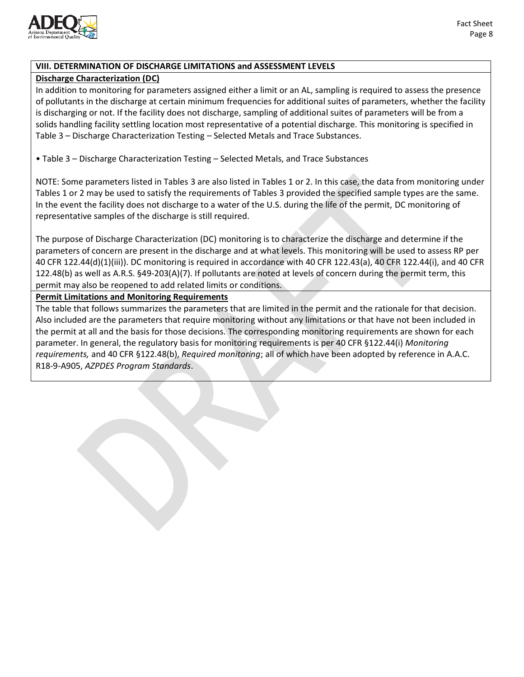

### **VIII. DETERMINATION OF DISCHARGE LIMITATIONS and ASSESSMENT LEVELS**

### **Discharge Characterization (DC)**

In addition to monitoring for parameters assigned either a limit or an AL, sampling is required to assess the presence of pollutants in the discharge at certain minimum frequencies for additional suites of parameters, whether the facility is discharging or not. If the facility does not discharge, sampling of additional suites of parameters will be from a solids handling facility settling location most representative of a potential discharge. This monitoring is specified in Table 3 – Discharge Characterization Testing – Selected Metals and Trace Substances.

• Table 3 – Discharge Characterization Testing – Selected Metals, and Trace Substances

NOTE: Some parameters listed in Tables 3 are also listed in Tables 1 or 2. In this case, the data from monitoring under Tables 1 or 2 may be used to satisfy the requirements of Tables 3 provided the specified sample types are the same. In the event the facility does not discharge to a water of the U.S. during the life of the permit, DC monitoring of representative samples of the discharge is still required.

The purpose of Discharge Characterization (DC) monitoring is to characterize the discharge and determine if the parameters of concern are present in the discharge and at what levels. This monitoring will be used to assess RP per 40 CFR 122.44(d)(1)(iii)). DC monitoring is required in accordance with 40 CFR 122.43(a), 40 CFR 122.44(i), and 40 CFR 122.48(b) as well as A.R.S. §49-203(A)(7). If pollutants are noted at levels of concern during the permit term, this permit may also be reopened to add related limits or conditions.

### **Permit Limitations and Monitoring Requirements**

The table that follows summarizes the parameters that are limited in the permit and the rationale for that decision. Also included are the parameters that require monitoring without any limitations or that have not been included in the permit at all and the basis for those decisions. The corresponding monitoring requirements are shown for each parameter. In general, the regulatory basis for monitoring requirements is per 40 CFR §122.44(i) *Monitoring requirements,* and 40 CFR §122.48(b), *Required monitoring*; all of which have been adopted by reference in A.A.C. R18-9-A905, *AZPDES Program Standards*.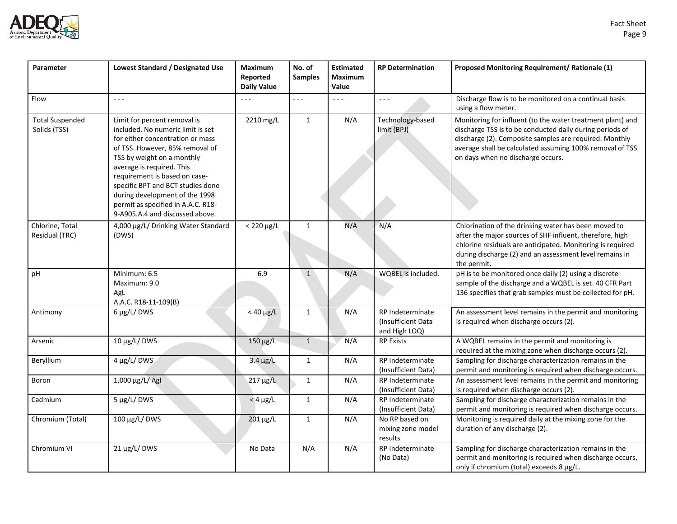

| Parameter                              | Lowest Standard / Designated Use                                                                                                                                                                                                                                                                                                                                                     | <b>Maximum</b><br>Reported<br><b>Daily Value</b> | No. of<br><b>Samples</b> | <b>Estimated</b><br><b>Maximum</b><br>Value | <b>RP Determination</b>                                 | Proposed Monitoring Requirement/ Rationale (1)                                                                                                                                                                                                                                    |
|----------------------------------------|--------------------------------------------------------------------------------------------------------------------------------------------------------------------------------------------------------------------------------------------------------------------------------------------------------------------------------------------------------------------------------------|--------------------------------------------------|--------------------------|---------------------------------------------|---------------------------------------------------------|-----------------------------------------------------------------------------------------------------------------------------------------------------------------------------------------------------------------------------------------------------------------------------------|
| Flow                                   | $- - -$                                                                                                                                                                                                                                                                                                                                                                              | - - -                                            | $\sim$ $\sim$ $\sim$     | $\sim$ $\sim$ $\sim$                        | $- - -$                                                 | Discharge flow is to be monitored on a continual basis<br>using a flow meter.                                                                                                                                                                                                     |
| <b>Total Suspended</b><br>Solids (TSS) | Limit for percent removal is<br>included. No numeric limit is set<br>for either concentration or mass<br>of TSS. However, 85% removal of<br>TSS by weight on a monthly<br>average is required. This<br>requirement is based on case-<br>specific BPT and BCT studies done<br>during development of the 1998<br>permit as specified in A.A.C. R18-<br>9-A905.A.4 and discussed above. | 2210 mg/L                                        | $\mathbf{1}$             | N/A                                         | Technology-based<br>limit (BPJ)                         | Monitoring for influent (to the water treatment plant) and<br>discharge TSS is to be conducted daily during periods of<br>discharge (2). Composite samples are required. Monthly<br>average shall be calculated assuming 100% removal of TSS<br>on days when no discharge occurs. |
| Chlorine, Total<br>Residual (TRC)      | 4,000 µg/L/ Drinking Water Standard<br>(DWS)                                                                                                                                                                                                                                                                                                                                         | $< 220 \mu g/L$                                  | $\mathbf{1}$             | N/A                                         | N/A                                                     | Chlorination of the drinking water has been moved to<br>after the major sources of SHF influent, therefore, high<br>chlorine residuals are anticipated. Monitoring is required<br>during discharge (2) and an assessment level remains in<br>the permit.                          |
| pH                                     | Minimum: 6.5<br>Maximum: 9.0<br>AgL<br>A.A.C. R18-11-109(B)                                                                                                                                                                                                                                                                                                                          | 6.9                                              | $\mathbf 1$              | N/A                                         | WQBEL is included.                                      | pH is to be monitored once daily (2) using a discrete<br>sample of the discharge and a WQBEL is set. 40 CFR Part<br>136 specifies that grab samples must be collected for pH.                                                                                                     |
| Antimony                               | 6 µg/L/DWS                                                                                                                                                                                                                                                                                                                                                                           | $<$ 40 $\mu$ g/L                                 | $\mathbf{1}$             | N/A                                         | RP Indeterminate<br>(Insufficient Data<br>and High LOQ) | An assessment level remains in the permit and monitoring<br>is required when discharge occurs (2).                                                                                                                                                                                |
| Arsenic                                | 10 μg/L/DWS                                                                                                                                                                                                                                                                                                                                                                          | $150 \mu g/L$                                    | $\mathbf{1}$             | N/A                                         | <b>RP Exists</b>                                        | A WQBEL remains in the permit and monitoring is<br>required at the mixing zone when discharge occurs (2).                                                                                                                                                                         |
| Beryllium                              | 4 µg/L/DWS                                                                                                                                                                                                                                                                                                                                                                           | $3.4 \mu g/L$                                    | $\mathbf{1}$             | N/A                                         | RP Indeterminate<br>(Insufficient Data)                 | Sampling for discharge characterization remains in the<br>permit and monitoring is required when discharge occurs.                                                                                                                                                                |
| Boron                                  | 1,000 µg/L/ AgI                                                                                                                                                                                                                                                                                                                                                                      | 217 µg/L                                         | $\mathbf 1$              | N/A                                         | RP Indeterminate<br>(Insufficient Data)                 | An assessment level remains in the permit and monitoring<br>is required when discharge occurs (2).                                                                                                                                                                                |
| Cadmium                                | 5 µg/L/DWS                                                                                                                                                                                                                                                                                                                                                                           | $<$ 4 $\mu$ g/L                                  | $\mathbf{1}$             | N/A                                         | RP Indeterminate<br>(Insufficient Data)                 | Sampling for discharge characterization remains in the<br>permit and monitoring is required when discharge occurs.                                                                                                                                                                |
| Chromium (Total)                       | 100 μg/L/ DWS                                                                                                                                                                                                                                                                                                                                                                        | 201 µg/L                                         | $\mathbf 1$              | N/A                                         | No RP based on<br>mixing zone model<br>results          | Monitoring is required daily at the mixing zone for the<br>duration of any discharge (2).                                                                                                                                                                                         |
| Chromium VI                            | 21 µg/L/DWS                                                                                                                                                                                                                                                                                                                                                                          | No Data                                          | N/A                      | N/A                                         | RP Indeterminate<br>(No Data)                           | Sampling for discharge characterization remains in the<br>permit and monitoring is required when discharge occurs,<br>only if chromium (total) exceeds 8 µg/L.                                                                                                                    |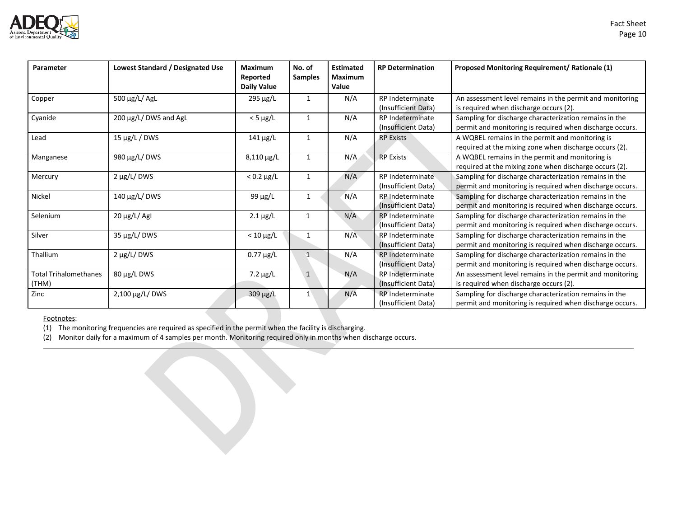

| Parameter                             | Lowest Standard / Designated Use | <b>Maximum</b><br>Reported<br><b>Daily Value</b> | No. of<br><b>Samples</b> | <b>Estimated</b><br><b>Maximum</b><br>Value | <b>RP Determination</b>                        | <b>Proposed Monitoring Requirement/ Rationale (1)</b>                                                              |
|---------------------------------------|----------------------------------|--------------------------------------------------|--------------------------|---------------------------------------------|------------------------------------------------|--------------------------------------------------------------------------------------------------------------------|
| Copper                                | 500 μg/L/ AgL                    | 295 µg/L                                         | 1                        | N/A                                         | RP Indeterminate<br>(Insufficient Data)        | An assessment level remains in the permit and monitoring<br>is required when discharge occurs (2).                 |
| Cyanide                               | 200 µg/L/ DWS and AgL            | $<$ 5 $\mu$ g/L                                  | $\mathbf{1}$             | N/A                                         | RP Indeterminate<br>(Insufficient Data)        | Sampling for discharge characterization remains in the<br>permit and monitoring is required when discharge occurs. |
| Lead                                  | $15 \mu g/L / DWS$               | $141 \mu g/L$                                    | $\mathbf{1}$             | N/A                                         | <b>RP Exists</b>                               | A WQBEL remains in the permit and monitoring is<br>required at the mixing zone when discharge occurs (2).          |
| Manganese                             | 980 μg/L/ DWS                    | 8,110 µg/L                                       | 1                        | N/A                                         | <b>RP Exists</b>                               | A WQBEL remains in the permit and monitoring is<br>required at the mixing zone when discharge occurs (2).          |
| Mercury                               | $2 \mu g/L$ DWS                  | $< 0.2 \mu g/L$                                  | 1                        | N/A                                         | RP Indeterminate<br>(Insufficient Data)        | Sampling for discharge characterization remains in the<br>permit and monitoring is required when discharge occurs. |
| Nickel                                | 140 μg/L/ DWS                    | 99 $\mu$ g/L                                     | 1                        | N/A                                         | RP Indeterminate<br>(Insufficient Data)        | Sampling for discharge characterization remains in the<br>permit and monitoring is required when discharge occurs. |
| Selenium                              | 20 µg/L/ AgI                     | $2.1 \mu g/L$                                    |                          | N/A                                         | RP Indeterminate<br>(Insufficient Data)        | Sampling for discharge characterization remains in the<br>permit and monitoring is required when discharge occurs. |
| Silver                                | 35 µg/L/DWS                      | $< 10 \mu g/L$                                   |                          | N/A                                         | RP Indeterminate<br>(Insufficient Data)        | Sampling for discharge characterization remains in the<br>permit and monitoring is required when discharge occurs. |
| Thallium                              | $2 \mu g/L$ DWS                  | $0.77 \mu g/L$                                   | 1                        | N/A                                         | <b>RP</b> Indeterminate<br>(Insufficient Data) | Sampling for discharge characterization remains in the<br>permit and monitoring is required when discharge occurs. |
| <b>Total Trihalomethanes</b><br>(THM) | 80 μg/L DWS                      | $7.2 \mu g/L$                                    | $\mathbf{1}$             | N/A                                         | RP Indeterminate<br>(Insufficient Data)        | An assessment level remains in the permit and monitoring<br>is required when discharge occurs (2).                 |
| Zinc                                  | 2,100 µg/L/ DWS                  | 309 µg/L                                         | $\mathbf{1}$             | N/A                                         | RP Indeterminate<br>(Insufficient Data)        | Sampling for discharge characterization remains in the<br>permit and monitoring is required when discharge occurs. |

Footnotes:

 $\overline{(1)}$  The monitoring frequencies are required as specified in the permit when the facility is discharging.

(2) Monitor daily for a maximum of 4 samples per month. Monitoring required only in months when discharge occurs.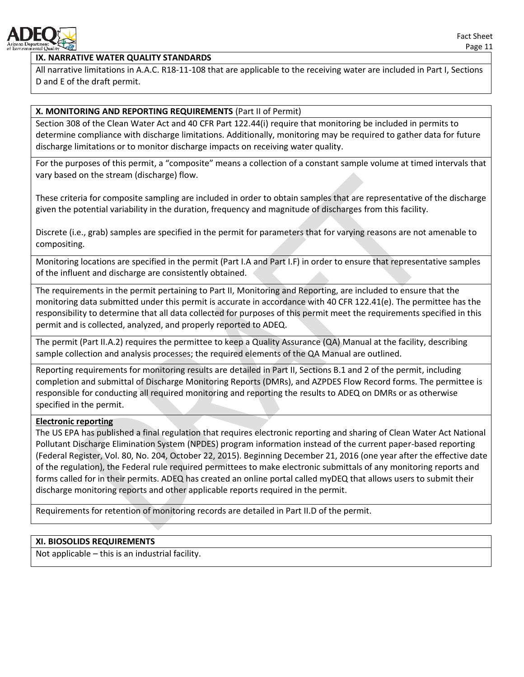

# **IX. NARRATIVE WATER QUALITY STANDARDS**

All narrative limitations in A.A.C. R18-11-108 that are applicable to the receiving water are included in Part I, Sections D and E of the draft permit.

# **X. MONITORING AND REPORTING REQUIREMENTS** (Part II of Permit)

Section 308 of the Clean Water Act and 40 CFR Part 122.44(i) require that monitoring be included in permits to determine compliance with discharge limitations. Additionally, monitoring may be required to gather data for future discharge limitations or to monitor discharge impacts on receiving water quality.

For the purposes of this permit, a "composite" means a collection of a constant sample volume at timed intervals that vary based on the stream (discharge) flow.

These criteria for composite sampling are included in order to obtain samples that are representative of the discharge given the potential variability in the duration, frequency and magnitude of discharges from this facility.

Discrete (i.e., grab) samples are specified in the permit for parameters that for varying reasons are not amenable to compositing.

Monitoring locations are specified in the permit (Part I.A and Part I.F) in order to ensure that representative samples of the influent and discharge are consistently obtained.

The requirements in the permit pertaining to Part II, Monitoring and Reporting, are included to ensure that the monitoring data submitted under this permit is accurate in accordance with 40 CFR 122.41(e). The permittee has the responsibility to determine that all data collected for purposes of this permit meet the requirements specified in this permit and is collected, analyzed, and properly reported to ADEQ.

The permit (Part II.A.2) requires the permittee to keep a Quality Assurance (QA) Manual at the facility, describing sample collection and analysis processes; the required elements of the QA Manual are outlined.

Reporting requirements for monitoring results are detailed in Part II, Sections B.1 and 2 of the permit, including completion and submittal of Discharge Monitoring Reports (DMRs), and AZPDES Flow Record forms. The permittee is responsible for conducting all required monitoring and reporting the results to ADEQ on DMRs or as otherwise specified in the permit.

# **Electronic reporting**

The US EPA has published a final regulation that requires electronic reporting and sharing of Clean Water Act National Pollutant Discharge Elimination System (NPDES) program information instead of the current paper-based reporting (Federal Register, Vol. 80, No. 204, October 22, 2015). Beginning December 21, 2016 (one year after the effective date of the regulation), the Federal rule required permittees to make electronic submittals of any monitoring reports and forms called for in their permits. ADEQ has created an online portal called myDEQ that allows users to submit their discharge monitoring reports and other applicable reports required in the permit.

Requirements for retention of monitoring records are detailed in Part II.D of the permit.

# **XI. BIOSOLIDS REQUIREMENTS**

Not applicable – this is an industrial facility.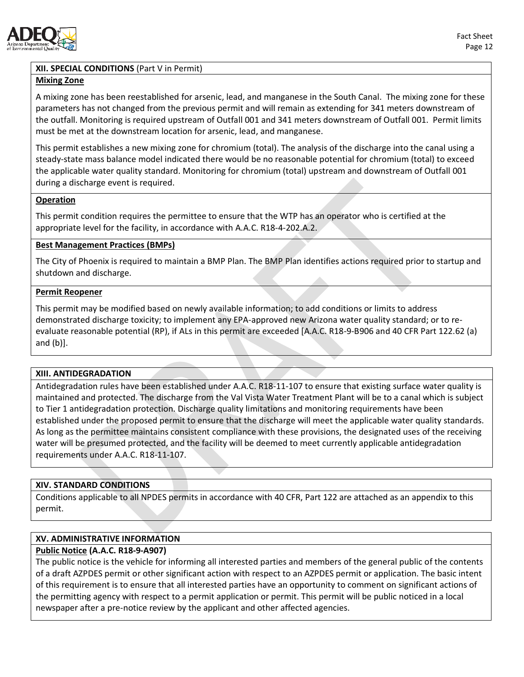

### **XII. SPECIAL CONDITIONS** (Part V in Permit)

### **Mixing Zone**

A mixing zone has been reestablished for arsenic, lead, and manganese in the South Canal. The mixing zone for these parameters has not changed from the previous permit and will remain as extending for 341 meters downstream of the outfall. Monitoring is required upstream of Outfall 001 and 341 meters downstream of Outfall 001. Permit limits must be met at the downstream location for arsenic, lead, and manganese.

This permit establishes a new mixing zone for chromium (total). The analysis of the discharge into the canal using a steady-state mass balance model indicated there would be no reasonable potential for chromium (total) to exceed the applicable water quality standard. Monitoring for chromium (total) upstream and downstream of Outfall 001 during a discharge event is required.

### **Operation**

This permit condition requires the permittee to ensure that the WTP has an operator who is certified at the appropriate level for the facility, in accordance with A.A.C. R18-4-202.A.2.

### **Best Management Practices (BMPs)**

The City of Phoenix is required to maintain a BMP Plan. The BMP Plan identifies actions required prior to startup and shutdown and discharge.

### **Permit Reopener**

This permit may be modified based on newly available information; to add conditions or limits to address demonstrated discharge toxicity; to implement any EPA-approved new Arizona water quality standard; or to reevaluate reasonable potential (RP), if ALs in this permit are exceeded [A.A.C. R18-9-B906 and 40 CFR Part 122.62 (a) and (b)].

#### **XIII. ANTIDEGRADATION**

Antidegradation rules have been established under A.A.C. R18-11-107 to ensure that existing surface water quality is maintained and protected. The discharge from the Val Vista Water Treatment Plant will be to a canal which is subject to Tier 1 antidegradation protection. Discharge quality limitations and monitoring requirements have been established under the proposed permit to ensure that the discharge will meet the applicable water quality standards. As long as the permittee maintains consistent compliance with these provisions, the designated uses of the receiving water will be presumed protected, and the facility will be deemed to meet currently applicable antidegradation requirements under A.A.C. R18-11-107.

#### **XIV. STANDARD CONDITIONS**

Conditions applicable to all NPDES permits in accordance with 40 CFR, Part 122 are attached as an appendix to this permit.

### **XV. ADMINISTRATIVE INFORMATION**

### **Public Notice (A.A.C. R18-9-A907)**

The public notice is the vehicle for informing all interested parties and members of the general public of the contents of a draft AZPDES permit or other significant action with respect to an AZPDES permit or application. The basic intent of this requirement is to ensure that all interested parties have an opportunity to comment on significant actions of the permitting agency with respect to a permit application or permit. This permit will be public noticed in a local newspaper after a pre-notice review by the applicant and other affected agencies.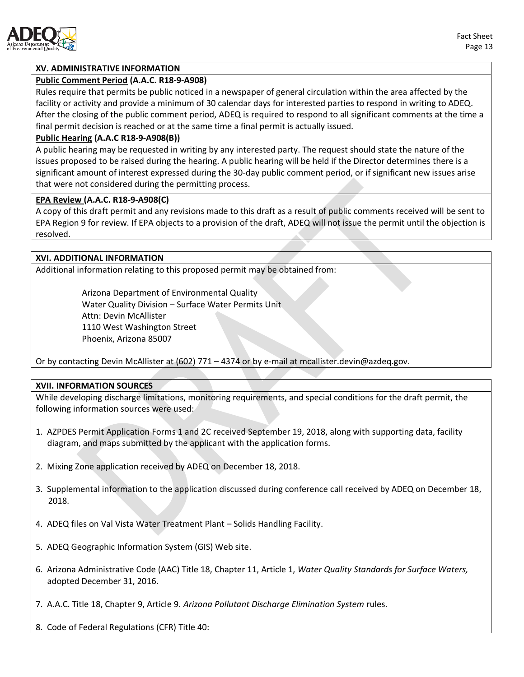

### **XV. ADMINISTRATIVE INFORMATION**

#### **Public Comment Period (A.A.C. R18-9-A908)**

Rules require that permits be public noticed in a newspaper of general circulation within the area affected by the facility or activity and provide a minimum of 30 calendar days for interested parties to respond in writing to ADEQ. After the closing of the public comment period, ADEQ is required to respond to all significant comments at the time a final permit decision is reached or at the same time a final permit is actually issued.

#### **Public Hearing (A.A.C R18-9-A908(B))**

A public hearing may be requested in writing by any interested party. The request should state the nature of the issues proposed to be raised during the hearing. A public hearing will be held if the Director determines there is a significant amount of interest expressed during the 30-day public comment period, or if significant new issues arise that were not considered during the permitting process.

#### **EPA Review (A.A.C. R18-9-A908(C)**

A copy of this draft permit and any revisions made to this draft as a result of public comments received will be sent to EPA Region 9 for review. If EPA objects to a provision of the draft, ADEQ will not issue the permit until the objection is resolved.

#### **XVI. ADDITIONAL INFORMATION**

Additional information relating to this proposed permit may be obtained from:

Arizona Department of Environmental Quality Water Quality Division – Surface Water Permits Unit Attn: Devin McAllister 1110 West Washington Street Phoenix, Arizona 85007

Or by contacting Devin McAllister at (602) 771 – 4374 or by e-mail at mcallister.devin@azdeq.gov.

#### **XVII. INFORMATION SOURCES**

While developing discharge limitations, monitoring requirements, and special conditions for the draft permit, the following information sources were used:

- 1. AZPDES Permit Application Forms 1 and 2C received September 19, 2018, along with supporting data, facility diagram, and maps submitted by the applicant with the application forms.
- 2. Mixing Zone application received by ADEQ on December 18, 2018.
- 3. Supplemental information to the application discussed during conference call received by ADEQ on December 18, 2018.
- 4. ADEQ files on Val Vista Water Treatment Plant Solids Handling Facility.
- 5. ADEQ Geographic Information System (GIS) Web site.
- 6. Arizona Administrative Code (AAC) Title 18, Chapter 11, Article 1, *Water Quality Standards for Surface Waters,* adopted December 31, 2016.
- 7. A.A.C. Title 18, Chapter 9, Article 9. *Arizona Pollutant Discharge Elimination System* rules.
- 8. Code of Federal Regulations (CFR) Title 40: